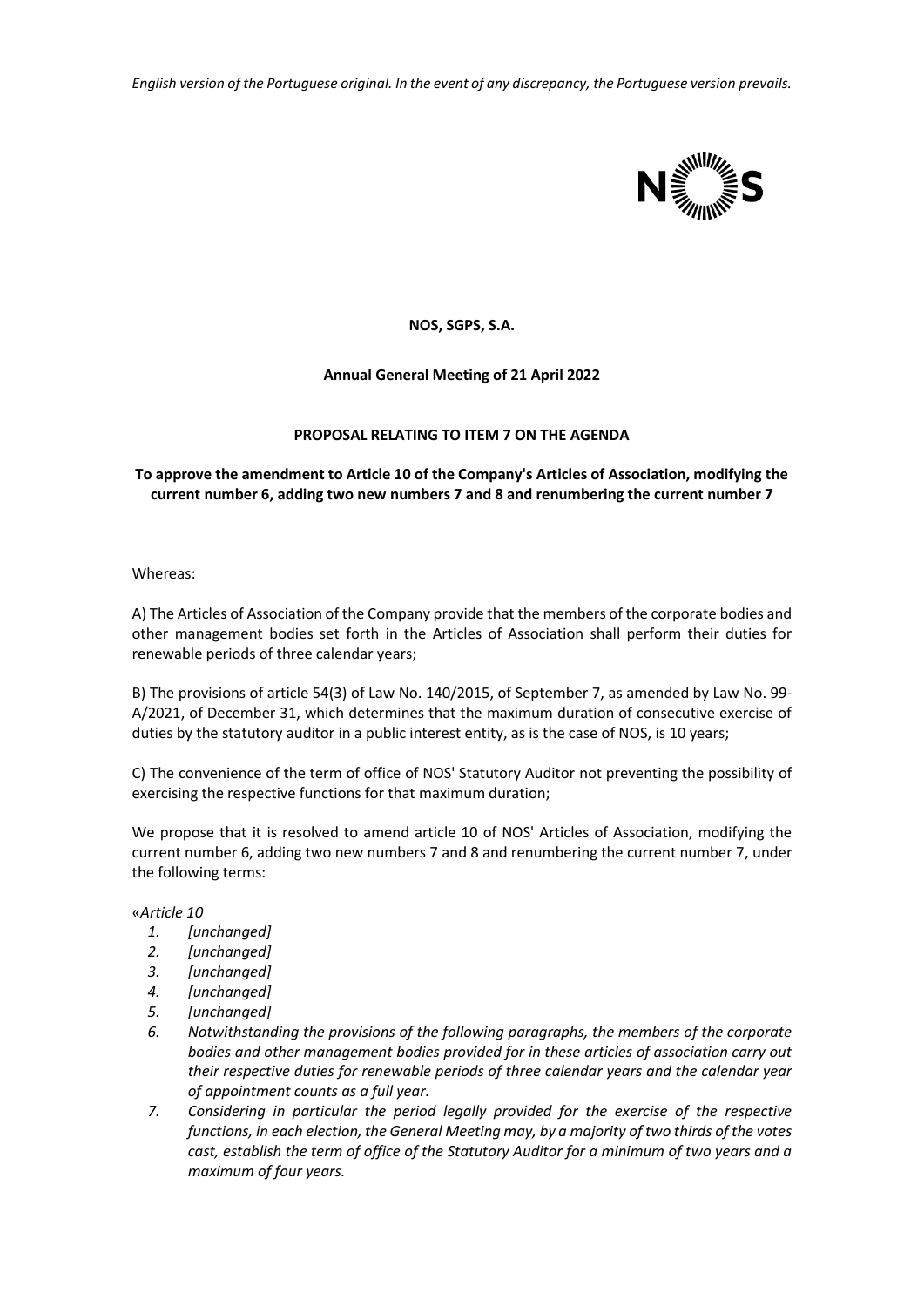*English version of the Portuguese original. In the event of any discrepancy, the Portuguese version prevails.*



# **NOS, SGPS, S.A.**

# **Annual General Meeting of 21 April 2022**

### **PROPOSAL RELATING TO ITEM 7 ON THE AGENDA**

## **To approve the amendment to Article 10 of the Company's Articles of Association, modifying the current number 6, adding two new numbers 7 and 8 and renumbering the current number 7**

Whereas:

A) The Articles of Association of the Company provide that the members of the corporate bodies and other management bodies set forth in the Articles of Association shall perform their duties for renewable periods of three calendar years;

B) The provisions of article 54(3) of Law No. 140/2015, of September 7, as amended by Law No. 99- A/2021, of December 31, which determines that the maximum duration of consecutive exercise of duties by the statutory auditor in a public interest entity, as is the case of NOS, is 10 years;

C) The convenience of the term of office of NOS' Statutory Auditor not preventing the possibility of exercising the respective functions for that maximum duration;

We propose that it is resolved to amend article 10 of NOS' Articles of Association, modifying the current number 6, adding two new numbers 7 and 8 and renumbering the current number 7, under the following terms:

#### «*Article 10*

- *1. [unchanged]*
- *2. [unchanged]*
- *3. [unchanged]*
- *4. [unchanged]*
- *5. [unchanged]*
- *6. Notwithstanding the provisions of the following paragraphs, the members of the corporate bodies and other management bodies provided for in these articles of association carry out their respective duties for renewable periods of three calendar years and the calendar year of appointment counts as a full year.*
- *7. Considering in particular the period legally provided for the exercise of the respective functions, in each election, the General Meeting may, by a majority of two thirds of the votes cast, establish the term of office of the Statutory Auditor for a minimum of two years and a maximum of four years.*